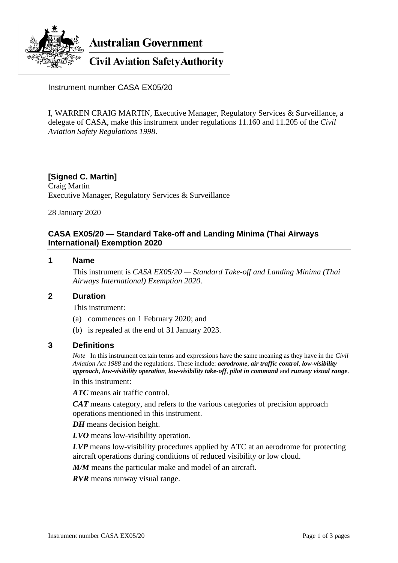

**Australian Government** 

**Civil Aviation Safety Authority** 

Instrument number CASA EX05/20

I, WARREN CRAIG MARTIN, Executive Manager, Regulatory Services & Surveillance, a delegate of CASA, make this instrument under regulations 11.160 and 11.205 of the *Civil Aviation Safety Regulations 1998*.

## **[Signed C. Martin]**

Craig Martin Executive Manager, Regulatory Services & Surveillance

28 January 2020

## **CASA EX05/20 — Standard Take-off and Landing Minima (Thai Airways International) Exemption 2020**

### **1 Name**

This instrument is *CASA EX05/20 — Standard Take-off and Landing Minima (Thai Airways International) Exemption 2020*.

### **2 Duration**

This instrument:

- (a) commences on 1 February 2020; and
- (b) is repealed at the end of 31 January 2023.

### **3 Definitions**

*Note* In this instrument certain terms and expressions have the same meaning as they have in the *Civil Aviation Act 1988* and the regulations. These include: *aerodrome*, *air traffic control*, *low-visibility approach*, *low-visibility operation*, *low-visibility take-off*, *pilot in command* and *runway visual range*.

In this instrument:

*ATC* means air traffic control.

*CAT* means category, and refers to the various categories of precision approach operations mentioned in this instrument.

*DH* means decision height.

*LVO* means low-visibility operation.

*LVP* means low-visibility procedures applied by ATC at an aerodrome for protecting aircraft operations during conditions of reduced visibility or low cloud.

*M/M* means the particular make and model of an aircraft.

*RVR* means runway visual range.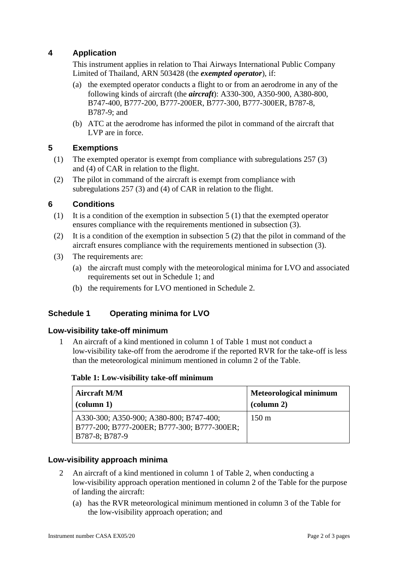# **4 Application**

This instrument applies in relation to Thai Airways International Public Company Limited of Thailand, ARN 503428 (the *exempted operator*), if:

- (a) the exempted operator conducts a flight to or from an aerodrome in any of the following kinds of aircraft (the *aircraft*): A330-300, A350-900, A380-800, B747-400, B777-200, B777-200ER, B777-300, B777-300ER, B787-8, B787-9; and
- (b) ATC at the aerodrome has informed the pilot in command of the aircraft that LVP are in force.

# **5 Exemptions**

- (1) The exempted operator is exempt from compliance with subregulations 257 (3) and (4) of CAR in relation to the flight.
- (2) The pilot in command of the aircraft is exempt from compliance with subregulations 257 (3) and (4) of CAR in relation to the flight.

## **6 Conditions**

- (1) It is a condition of the exemption in subsection 5 (1) that the exempted operator ensures compliance with the requirements mentioned in subsection (3).
- (2) It is a condition of the exemption in subsection  $5(2)$  that the pilot in command of the aircraft ensures compliance with the requirements mentioned in subsection (3).
- (3) The requirements are:
	- (a) the aircraft must comply with the meteorological minima for LVO and associated requirements set out in Schedule 1; and
	- (b) the requirements for LVO mentioned in Schedule 2.

# **Schedule 1 Operating minima for LVO**

## **Low-visibility take-off minimum**

1 An aircraft of a kind mentioned in column 1 of Table 1 must not conduct a low-visibility take-off from the aerodrome if the reported RVR for the take-off is less than the meteorological minimum mentioned in column 2 of the Table.

### **Table 1: Low-visibility take-off minimum**

| <b>Aircraft M/M</b>                                                                                        | <b>Meteorological minimum</b> |
|------------------------------------------------------------------------------------------------------------|-------------------------------|
| $\alpha$ (column 1)                                                                                        | $\alpha$ (column 2)           |
| A330-300; A350-900; A380-800; B747-400;<br>  B777-200; B777-200ER; B777-300; B777-300ER;<br>B787-8; B787-9 | $150 \text{ m}$               |

## **Low-visibility approach minima**

- 2 An aircraft of a kind mentioned in column 1 of Table 2, when conducting a low-visibility approach operation mentioned in column 2 of the Table for the purpose of landing the aircraft:
	- (a) has the RVR meteorological minimum mentioned in column 3 of the Table for the low-visibility approach operation; and